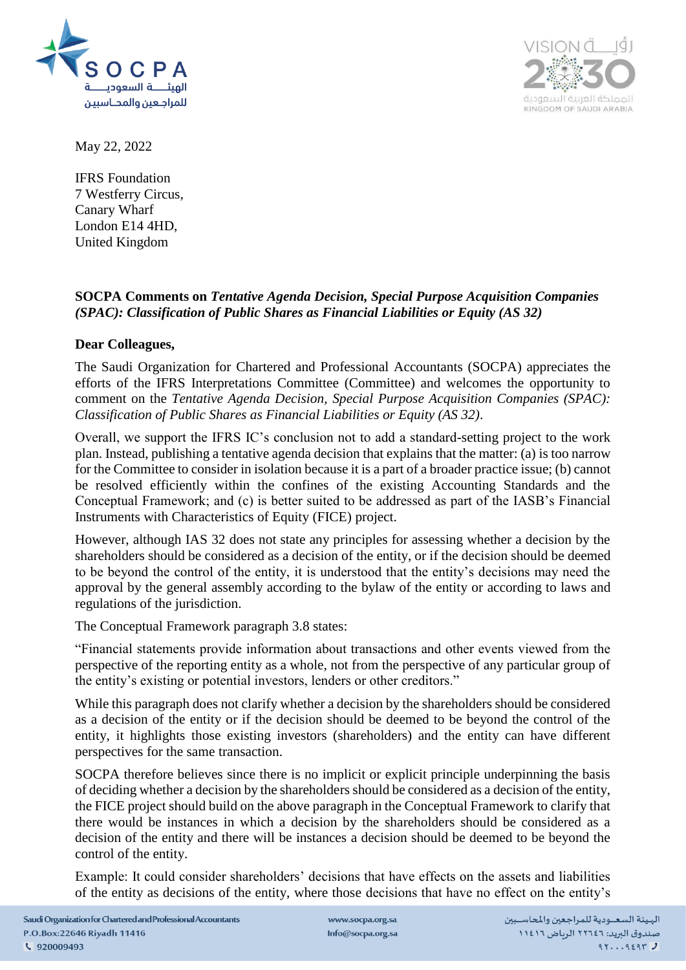



May 22, 2022

IFRS Foundation 7 Westferry Circus, Canary Wharf London E14 4HD, United Kingdom

## **SOCPA Comments on** *Tentative Agenda Decision, Special Purpose Acquisition Companies (SPAC): Classification of Public Shares as Financial Liabilities or Equity (AS 32)*

## **Dear Colleagues,**

The Saudi Organization for Chartered and Professional Accountants (SOCPA) appreciates the efforts of the IFRS Interpretations Committee (Committee) and welcomes the opportunity to comment on the *Tentative Agenda Decision, Special Purpose Acquisition Companies (SPAC): Classification of Public Shares as Financial Liabilities or Equity (AS 32)*.

Overall, we support the IFRS IC's conclusion not to add a standard-setting project to the work plan. Instead, publishing a tentative agenda decision that explains that the matter: (a) is too narrow for the Committee to consider in isolation because it is a part of a broader practice issue; (b) cannot be resolved efficiently within the confines of the existing Accounting Standards and the Conceptual Framework; and (c) is better suited to be addressed as part of the IASB's Financial Instruments with Characteristics of Equity (FICE) project.

However, although IAS 32 does not state any principles for assessing whether a decision by the shareholders should be considered as a decision of the entity, or if the decision should be deemed to be beyond the control of the entity, it is understood that the entity's decisions may need the approval by the general assembly according to the bylaw of the entity or according to laws and regulations of the jurisdiction.

The Conceptual Framework paragraph 3.8 states:

"Financial statements provide information about transactions and other events viewed from the perspective of the reporting entity as a whole, not from the perspective of any particular group of the entity's existing or potential investors, lenders or other creditors."

While this paragraph does not clarify whether a decision by the shareholders should be considered as a decision of the entity or if the decision should be deemed to be beyond the control of the entity, it highlights those existing investors (shareholders) and the entity can have different perspectives for the same transaction.

SOCPA therefore believes since there is no implicit or explicit principle underpinning the basis of deciding whether a decision by the shareholders should be considered as a decision of the entity, the FICE project should build on the above paragraph in the Conceptual Framework to clarify that there would be instances in which a decision by the shareholders should be considered as a decision of the entity and there will be instances a decision should be deemed to be beyond the control of the entity.

Example: It could consider shareholders' decisions that have effects on the assets and liabilities of the entity as decisions of the entity, where those decisions that have no effect on the entity's